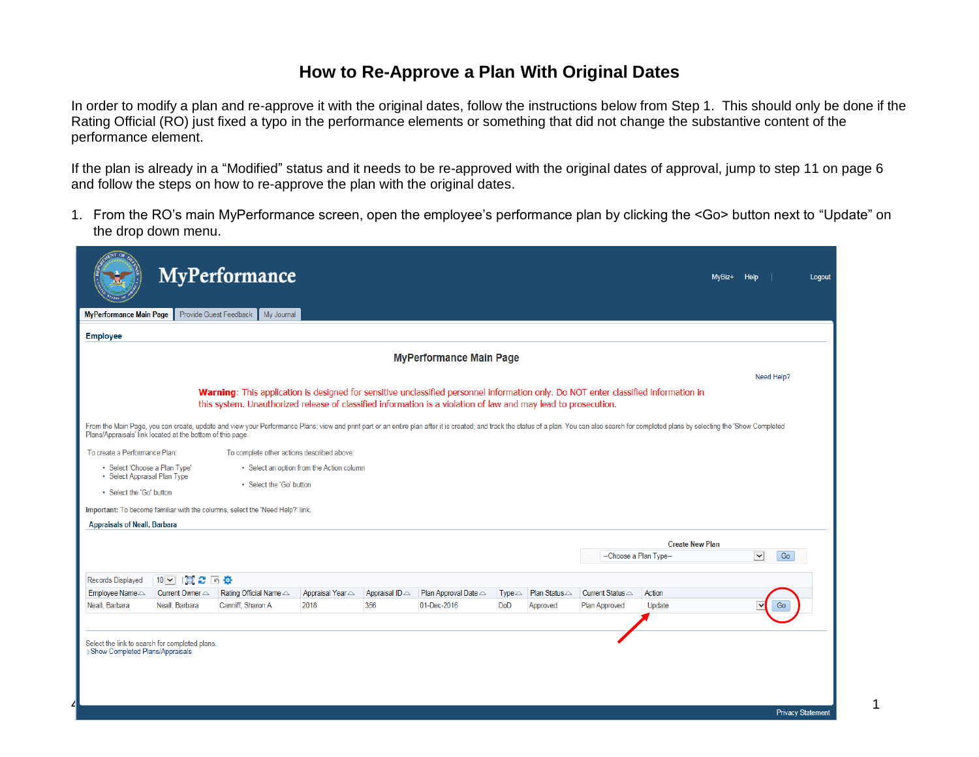## **How to Re-Approve a Plan With Original Dates**

In order to modify a plan and re-approve it with the original dates, follow the instructions below from Step 1. This should only be done if the Rating Official (RO) just fixed a typo in the performance elements or something that did not change the substantive content of the performance element.

If the plan is already in a "Modified" status and it needs to be re-approved with the original dates of approval, jump to step 11 on page 6 and follow the steps on how to re-approve the plan with the original dates.

1. From the RO's main MyPerformance screen, open the employee's performance plan by clicking the <Go> button next to "Update" on the drop down menu.

| Need Help?                                                                                                                                                                                                                     |
|--------------------------------------------------------------------------------------------------------------------------------------------------------------------------------------------------------------------------------|
|                                                                                                                                                                                                                                |
| From the Main Page, you can create, update and view your Performance Plans; view and print part or an entire plan after it is created; and track the status of a plan. You can also search for completed plans by selecting th |
|                                                                                                                                                                                                                                |
|                                                                                                                                                                                                                                |
|                                                                                                                                                                                                                                |
|                                                                                                                                                                                                                                |
|                                                                                                                                                                                                                                |
|                                                                                                                                                                                                                                |
|                                                                                                                                                                                                                                |
| $\checkmark$<br>Go                                                                                                                                                                                                             |
|                                                                                                                                                                                                                                |
|                                                                                                                                                                                                                                |
| Go                                                                                                                                                                                                                             |
|                                                                                                                                                                                                                                |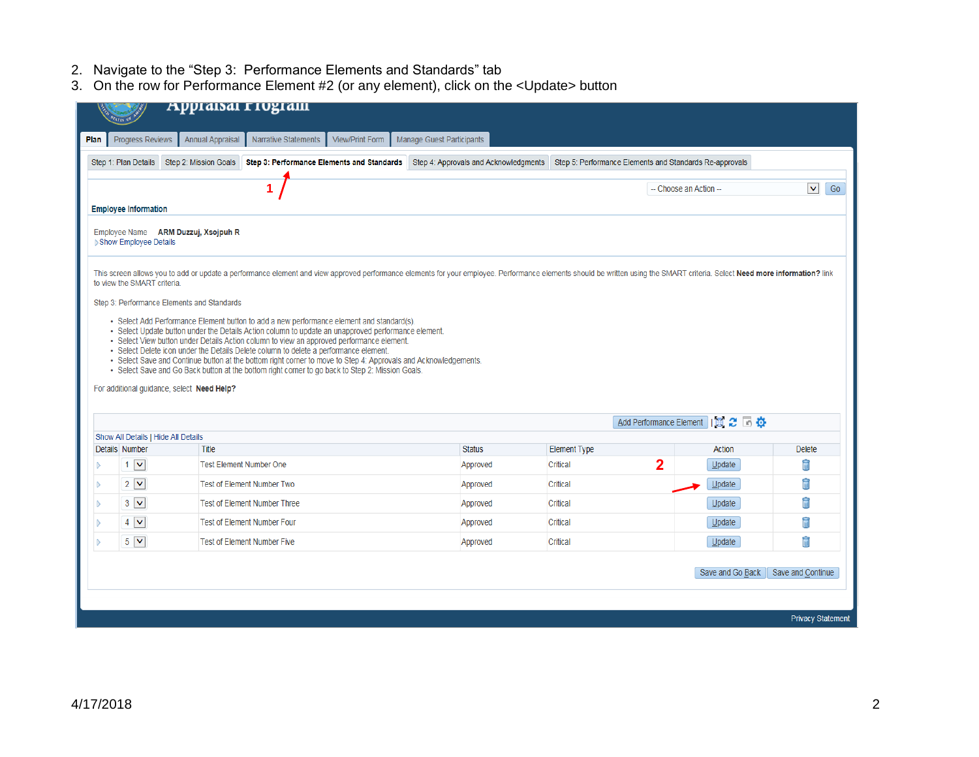- 2. Navigate to the "Step 3: Performance Elements and Standards" tab
- 3. On the row for Performance Element #2 (or any element), click on the <Update> button

| Plan                                                                             | <b>Progress Reviews</b>             | <b>Annual Appraisal</b>                    | <b>Narrative Statements</b>                                                                                                                                                                                                                                                                                                                                                                               | View/Print Form | Manage Guest Participants                                                                                                                                                                                                   |                                                         |             |                                    |               |
|----------------------------------------------------------------------------------|-------------------------------------|--------------------------------------------|-----------------------------------------------------------------------------------------------------------------------------------------------------------------------------------------------------------------------------------------------------------------------------------------------------------------------------------------------------------------------------------------------------------|-----------------|-----------------------------------------------------------------------------------------------------------------------------------------------------------------------------------------------------------------------------|---------------------------------------------------------|-------------|------------------------------------|---------------|
|                                                                                  | Step 1: Plan Details                | Step 2: Mission Goals                      |                                                                                                                                                                                                                                                                                                                                                                                                           |                 | Step 3: Performance Elements and Standards Step 4: Approvals and Acknowledgments                                                                                                                                            | Step 5: Performance Elements and Standards Re-approvals |             |                                    |               |
| 1<br>$\checkmark$<br>Go<br>-- Choose an Action --<br><b>Employee Information</b> |                                     |                                            |                                                                                                                                                                                                                                                                                                                                                                                                           |                 |                                                                                                                                                                                                                             |                                                         |             |                                    |               |
|                                                                                  | Show Employee Details               | Employee Name ARM Duzzuj, Xsojpuh R        |                                                                                                                                                                                                                                                                                                                                                                                                           |                 |                                                                                                                                                                                                                             |                                                         |             |                                    |               |
|                                                                                  | to view the SMART criteria.         |                                            |                                                                                                                                                                                                                                                                                                                                                                                                           |                 | This screen allows you to add or update a performance element and view approved performance elements for your employee. Performance elements should be written using the SMART criteria. Select Need more information? link |                                                         |             |                                    |               |
| Step 3: Performance Elements and Standards                                       |                                     |                                            |                                                                                                                                                                                                                                                                                                                                                                                                           |                 |                                                                                                                                                                                                                             |                                                         |             |                                    |               |
|                                                                                  |                                     |                                            | · Select Add Performance Element button to add a new performance element and standard(s).<br>• Select Update button under the Details Action column to update an unapproved performance element.                                                                                                                                                                                                          |                 |                                                                                                                                                                                                                             |                                                         |             |                                    |               |
|                                                                                  |                                     | For additional guidance, select Need Help? | · Select View button under Details Action column to view an approved performance element.<br>· Select Delete icon under the Details Delete column to delete a performance element.<br>- Select Save and Continue button at the bottom right corner to move to Step 4: Approvals and Acknowledgements.<br>- Select Save and Go Back button at the bottom right corner to go back to Step 2: Mission Goals. |                 |                                                                                                                                                                                                                             |                                                         |             |                                    |               |
|                                                                                  | Show All Details   Hide All Details |                                            |                                                                                                                                                                                                                                                                                                                                                                                                           |                 |                                                                                                                                                                                                                             |                                                         |             | Add Performance Element   EL 2   6 |               |
|                                                                                  | Details Number                      | Title                                      |                                                                                                                                                                                                                                                                                                                                                                                                           |                 | <b>Status</b>                                                                                                                                                                                                               | <b>Element Type</b>                                     |             | Action                             | <b>Delete</b> |
|                                                                                  | $1 \vee$                            | <b>Test Element Number One</b>             |                                                                                                                                                                                                                                                                                                                                                                                                           |                 | Approved                                                                                                                                                                                                                    | Critical                                                | $\mathbf 2$ | $U$ pdate                          | ħ             |
|                                                                                  | $2\sqrt{v}$                         |                                            | <b>Test of Element Number Two</b>                                                                                                                                                                                                                                                                                                                                                                         |                 | Approved                                                                                                                                                                                                                    | Critical                                                |             | $U$ pdate                          | î             |
|                                                                                  | $3\sqrt{2}$                         |                                            | <b>Test of Element Number Three</b>                                                                                                                                                                                                                                                                                                                                                                       |                 | Approved                                                                                                                                                                                                                    | Critical                                                |             | Update                             | Ħ             |
| D<br>B                                                                           | $4 \vee$                            |                                            | <b>Test of Element Number Four</b>                                                                                                                                                                                                                                                                                                                                                                        |                 | Approved                                                                                                                                                                                                                    | Critical                                                |             | $U$ pdate                          | î             |
| <b>IN</b>                                                                        | $5\sqrt{2}$                         |                                            | <b>Test of Element Number Five</b>                                                                                                                                                                                                                                                                                                                                                                        |                 | Approved                                                                                                                                                                                                                    | Critical                                                |             | Update                             | Ħ             |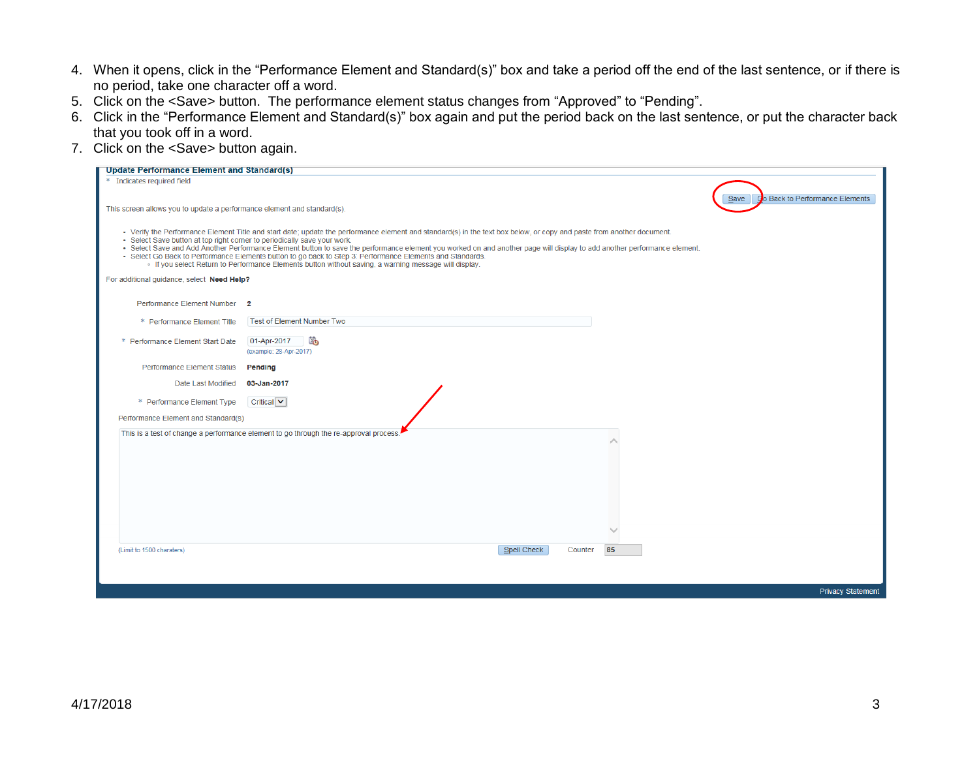- 4. When it opens, click in the "Performance Element and Standard(s)" box and take a period off the end of the last sentence, or if there is no period, take one character off a word.
- 5. Click on the <Save> button. The performance element status changes from "Approved" to "Pending".
- 6. Click in the "Performance Element and Standard(s)" box again and put the period back on the last sentence, or put the character back that you took off in a word.
- 7. Click on the <Save> button again.

| <b>Update Performance Element and Standard(s)</b>                                                                                                                                                                                                                                                                                                                                                                                                                                                                                                                                                                                                   |                                                                                       |  |  |  |  |
|-----------------------------------------------------------------------------------------------------------------------------------------------------------------------------------------------------------------------------------------------------------------------------------------------------------------------------------------------------------------------------------------------------------------------------------------------------------------------------------------------------------------------------------------------------------------------------------------------------------------------------------------------------|---------------------------------------------------------------------------------------|--|--|--|--|
| * Indicates required field                                                                                                                                                                                                                                                                                                                                                                                                                                                                                                                                                                                                                          |                                                                                       |  |  |  |  |
|                                                                                                                                                                                                                                                                                                                                                                                                                                                                                                                                                                                                                                                     | Go Back to Performance Elements<br>Save                                               |  |  |  |  |
| This screen allows you to update a performance element and standard(s).                                                                                                                                                                                                                                                                                                                                                                                                                                                                                                                                                                             |                                                                                       |  |  |  |  |
| • Verify the Performance Element Title and start date; update the performance element and standard(s) in the text box below, or copy and paste from another document.<br>· Select Save button at top right corner to periodically save your work.<br>· Select Save and Add Another Performance Element button to save the performance element you worked on and another page will display to add another performance element.<br>• Select Go Back to Performance Elements button to go back to Step 3: Performance Elements and Standards.<br>- If you select Return to Performance Elements button without saving, a warning message will display. |                                                                                       |  |  |  |  |
| For additional guidance, select Need Help?                                                                                                                                                                                                                                                                                                                                                                                                                                                                                                                                                                                                          |                                                                                       |  |  |  |  |
| Performance Element Number 2                                                                                                                                                                                                                                                                                                                                                                                                                                                                                                                                                                                                                        |                                                                                       |  |  |  |  |
| * Performance Element Title                                                                                                                                                                                                                                                                                                                                                                                                                                                                                                                                                                                                                         | <b>Test of Element Number Two</b>                                                     |  |  |  |  |
| * Performance Element Start Date                                                                                                                                                                                                                                                                                                                                                                                                                                                                                                                                                                                                                    | Eò.<br>01-Apr-2017                                                                    |  |  |  |  |
|                                                                                                                                                                                                                                                                                                                                                                                                                                                                                                                                                                                                                                                     | (example: 28-Apr-2017)                                                                |  |  |  |  |
| Performance Element Status                                                                                                                                                                                                                                                                                                                                                                                                                                                                                                                                                                                                                          | Pending                                                                               |  |  |  |  |
| Date Last Modified                                                                                                                                                                                                                                                                                                                                                                                                                                                                                                                                                                                                                                  | 03-Jan-2017                                                                           |  |  |  |  |
| * Performance Element Type                                                                                                                                                                                                                                                                                                                                                                                                                                                                                                                                                                                                                          | Critical V                                                                            |  |  |  |  |
| Performance Element and Standard(s)                                                                                                                                                                                                                                                                                                                                                                                                                                                                                                                                                                                                                 |                                                                                       |  |  |  |  |
|                                                                                                                                                                                                                                                                                                                                                                                                                                                                                                                                                                                                                                                     | This is a test of change a performance element to go through the re-approval process. |  |  |  |  |
|                                                                                                                                                                                                                                                                                                                                                                                                                                                                                                                                                                                                                                                     |                                                                                       |  |  |  |  |
|                                                                                                                                                                                                                                                                                                                                                                                                                                                                                                                                                                                                                                                     |                                                                                       |  |  |  |  |
|                                                                                                                                                                                                                                                                                                                                                                                                                                                                                                                                                                                                                                                     |                                                                                       |  |  |  |  |
|                                                                                                                                                                                                                                                                                                                                                                                                                                                                                                                                                                                                                                                     |                                                                                       |  |  |  |  |
|                                                                                                                                                                                                                                                                                                                                                                                                                                                                                                                                                                                                                                                     |                                                                                       |  |  |  |  |
|                                                                                                                                                                                                                                                                                                                                                                                                                                                                                                                                                                                                                                                     |                                                                                       |  |  |  |  |
| (Limit to 1500 charaters)                                                                                                                                                                                                                                                                                                                                                                                                                                                                                                                                                                                                                           | <b>Spell Check</b><br>85<br>Counter                                                   |  |  |  |  |
|                                                                                                                                                                                                                                                                                                                                                                                                                                                                                                                                                                                                                                                     |                                                                                       |  |  |  |  |
|                                                                                                                                                                                                                                                                                                                                                                                                                                                                                                                                                                                                                                                     |                                                                                       |  |  |  |  |
|                                                                                                                                                                                                                                                                                                                                                                                                                                                                                                                                                                                                                                                     | <b>Privacy Statement</b>                                                              |  |  |  |  |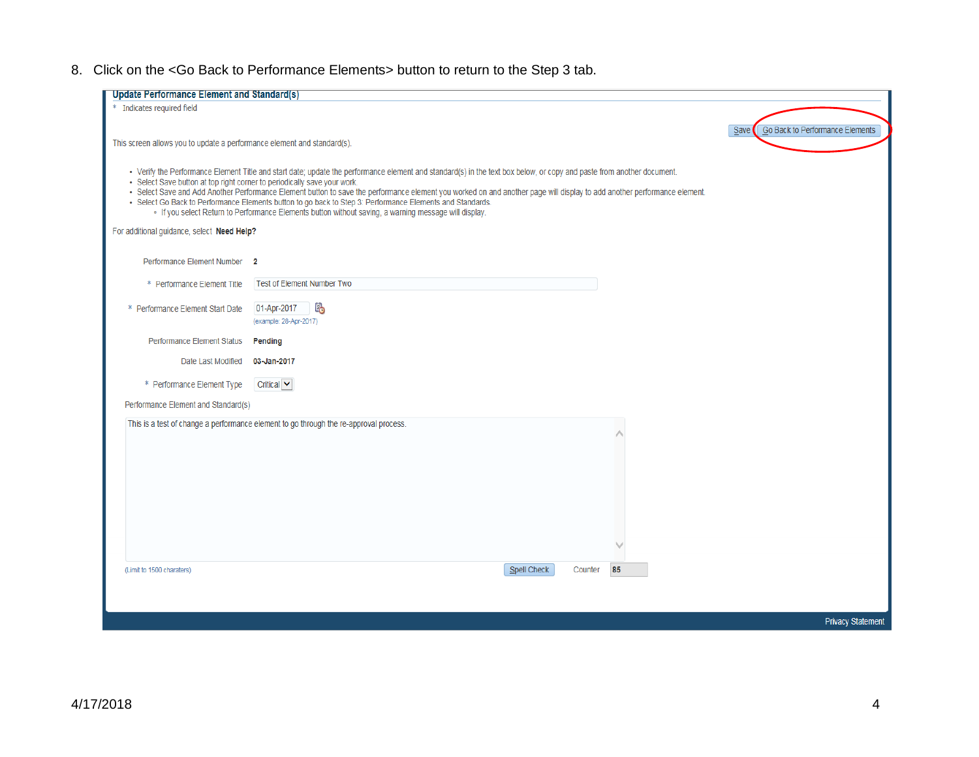8. Click on the <Go Back to Performance Elements> button to return to the Step 3 tab.

| <b>Update Performance Element and Standard(s)</b>                        |                                                                                                                                                                          |                                         |
|--------------------------------------------------------------------------|--------------------------------------------------------------------------------------------------------------------------------------------------------------------------|-----------------------------------------|
| * Indicates required field                                               |                                                                                                                                                                          |                                         |
|                                                                          |                                                                                                                                                                          |                                         |
|                                                                          |                                                                                                                                                                          | Go Back to Performance Elements<br>Save |
| This screen allows you to update a performance element and standard(s).  |                                                                                                                                                                          |                                         |
|                                                                          |                                                                                                                                                                          |                                         |
|                                                                          | • Verify the Performance Element Title and start date; update the performance element and standard(s) in the text box below, or copy and paste from another document.    |                                         |
| · Select Save button at top right corner to periodically save your work. | · Select Save and Add Another Performance Element button to save the performance element you worked on and another page will display to add another performance element. |                                         |
|                                                                          | • Select Go Back to Performance Elements button to go back to Step 3: Performance Elements and Standards.                                                                |                                         |
|                                                                          | - If you select Return to Performance Elements button without saving, a warning message will display.                                                                    |                                         |
| For additional guidance, select Need Help?                               |                                                                                                                                                                          |                                         |
|                                                                          |                                                                                                                                                                          |                                         |
| Performance Element Number 2                                             |                                                                                                                                                                          |                                         |
|                                                                          |                                                                                                                                                                          |                                         |
| * Performance Element Title                                              | <b>Test of Element Number Two</b>                                                                                                                                        |                                         |
|                                                                          |                                                                                                                                                                          |                                         |
| * Performance Element Start Date                                         | l.<br>01-Apr-2017                                                                                                                                                        |                                         |
|                                                                          | (example: 28-Apr-2017)                                                                                                                                                   |                                         |
| Performance Element Status                                               | <b>Pending</b>                                                                                                                                                           |                                         |
|                                                                          |                                                                                                                                                                          |                                         |
| Date Last Modified                                                       | 03-Jan-2017                                                                                                                                                              |                                         |
| * Performance Element Type                                               | Critical $\vee$                                                                                                                                                          |                                         |
|                                                                          |                                                                                                                                                                          |                                         |
| Performance Element and Standard(s)                                      |                                                                                                                                                                          |                                         |
|                                                                          | This is a test of change a performance element to go through the re-approval process.                                                                                    |                                         |
|                                                                          |                                                                                                                                                                          |                                         |
|                                                                          |                                                                                                                                                                          |                                         |
|                                                                          |                                                                                                                                                                          |                                         |
|                                                                          |                                                                                                                                                                          |                                         |
|                                                                          |                                                                                                                                                                          |                                         |
|                                                                          |                                                                                                                                                                          |                                         |
|                                                                          |                                                                                                                                                                          |                                         |
|                                                                          |                                                                                                                                                                          |                                         |
|                                                                          |                                                                                                                                                                          |                                         |
|                                                                          |                                                                                                                                                                          |                                         |
| (Limit to 1500 charaters)                                                | Spell Check<br>85<br>Counter                                                                                                                                             |                                         |
|                                                                          |                                                                                                                                                                          |                                         |
|                                                                          |                                                                                                                                                                          |                                         |
|                                                                          |                                                                                                                                                                          |                                         |
|                                                                          |                                                                                                                                                                          | <b>Privacy Statement</b>                |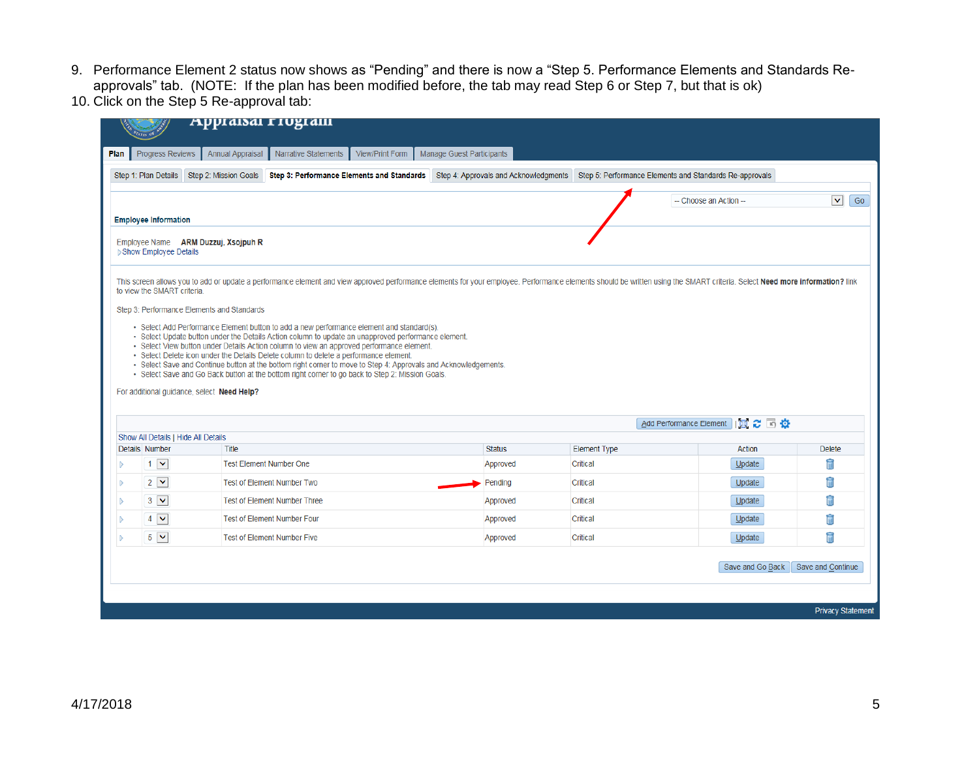- 9. Performance Element 2 status now shows as "Pending" and there is now a "Step 5. Performance Elements and Standards Reapprovals" tab. (NOTE: If the plan has been modified before, the tab may read Step 6 or Step 7, but that is ok)
- 10. Click on the Step 5 Re-approval tab:

|      |                                                                                                                                                                                                 | Appraisar rivgram                                                                                                                                                                                                                                                                                                                                                                                                                                                                                                                                              |                                              |                                 |                                   |                          |  |
|------|-------------------------------------------------------------------------------------------------------------------------------------------------------------------------------------------------|----------------------------------------------------------------------------------------------------------------------------------------------------------------------------------------------------------------------------------------------------------------------------------------------------------------------------------------------------------------------------------------------------------------------------------------------------------------------------------------------------------------------------------------------------------------|----------------------------------------------|---------------------------------|-----------------------------------|--------------------------|--|
| Plan | Progress Reviews                                                                                                                                                                                | <b>Annual Appraisal</b><br>Narrative Statements                                                                                                                                                                                                                                                                                                                                                                                                                                                                                                                | View/Print Form<br>Manage Guest Participants |                                 |                                   |                          |  |
|      | Step 1: Plan Details<br>Step 2: Mission Goals<br>Step 3: Performance Elements and Standards<br>Step 4: Approvals and Acknowledgments<br>Step 5: Performance Elements and Standards Re-approvals |                                                                                                                                                                                                                                                                                                                                                                                                                                                                                                                                                                |                                              |                                 |                                   |                          |  |
|      | $\checkmark$<br>Go<br>-- Choose an Action --                                                                                                                                                    |                                                                                                                                                                                                                                                                                                                                                                                                                                                                                                                                                                |                                              |                                 |                                   |                          |  |
|      | <b>Employee Information</b>                                                                                                                                                                     |                                                                                                                                                                                                                                                                                                                                                                                                                                                                                                                                                                |                                              |                                 |                                   |                          |  |
|      | <b>Employee Name</b><br>▶ Show Employee Details                                                                                                                                                 | ARM Duzzuj, Xsojpuh R                                                                                                                                                                                                                                                                                                                                                                                                                                                                                                                                          |                                              |                                 |                                   |                          |  |
|      | to view the SMART criteria.                                                                                                                                                                     | This screen allows you to add or update a performance element and view approved performance elements for your employee. Performance elements should be written using the SMART criteria. Select Need more information? link                                                                                                                                                                                                                                                                                                                                    |                                              |                                 |                                   |                          |  |
|      |                                                                                                                                                                                                 | Step 3: Performance Elements and Standards                                                                                                                                                                                                                                                                                                                                                                                                                                                                                                                     |                                              |                                 |                                   |                          |  |
|      |                                                                                                                                                                                                 | · Select Update button under the Details Action column to update an unapproved performance element.<br>· Select View button under Details Action column to view an approved performance element.<br>• Select Delete icon under the Details Delete column to delete a performance element.<br>- Select Save and Continue button at the bottom right corner to move to Step 4: Approvals and Acknowledgements.<br>. Select Save and Go Back button at the bottom right corner to go back to Step 2: Mission Goals.<br>For additional guidance, select Need Help? |                                              |                                 |                                   |                          |  |
|      |                                                                                                                                                                                                 |                                                                                                                                                                                                                                                                                                                                                                                                                                                                                                                                                                |                                              |                                 | Add Performance Element   3 2 5 3 |                          |  |
|      | Show All Details   Hide All Details<br>Details Number                                                                                                                                           | Title                                                                                                                                                                                                                                                                                                                                                                                                                                                                                                                                                          | <b>Status</b>                                |                                 | Action                            | <b>Delete</b>            |  |
|      | $1 \times$                                                                                                                                                                                      | <b>Test Element Number One</b>                                                                                                                                                                                                                                                                                                                                                                                                                                                                                                                                 | Approved                                     | <b>Element Type</b><br>Critical | $U$ pdate                         | î                        |  |
|      | $2 \vee$                                                                                                                                                                                        | <b>Test of Element Number Two</b>                                                                                                                                                                                                                                                                                                                                                                                                                                                                                                                              | Pending                                      | Critical                        | $U$ pdate                         | î                        |  |
|      | $3 \vee$                                                                                                                                                                                        | <b>Test of Element Number Three</b>                                                                                                                                                                                                                                                                                                                                                                                                                                                                                                                            | Approved                                     | Critical                        | $U$ pdate                         | î                        |  |
|      | $4 \vee$                                                                                                                                                                                        | <b>Test of Element Number Four</b>                                                                                                                                                                                                                                                                                                                                                                                                                                                                                                                             | Approved                                     | Critical                        | $Update$                          | î                        |  |
| D    | $5 \vee$                                                                                                                                                                                        | <b>Test of Element Number Five</b>                                                                                                                                                                                                                                                                                                                                                                                                                                                                                                                             | Approved                                     | Critical                        | Update                            | î                        |  |
|      |                                                                                                                                                                                                 |                                                                                                                                                                                                                                                                                                                                                                                                                                                                                                                                                                |                                              |                                 | Save and Go Back                  | Save and Continue        |  |
|      |                                                                                                                                                                                                 |                                                                                                                                                                                                                                                                                                                                                                                                                                                                                                                                                                |                                              |                                 |                                   |                          |  |
|      |                                                                                                                                                                                                 |                                                                                                                                                                                                                                                                                                                                                                                                                                                                                                                                                                |                                              |                                 |                                   | <b>Privacy Statement</b> |  |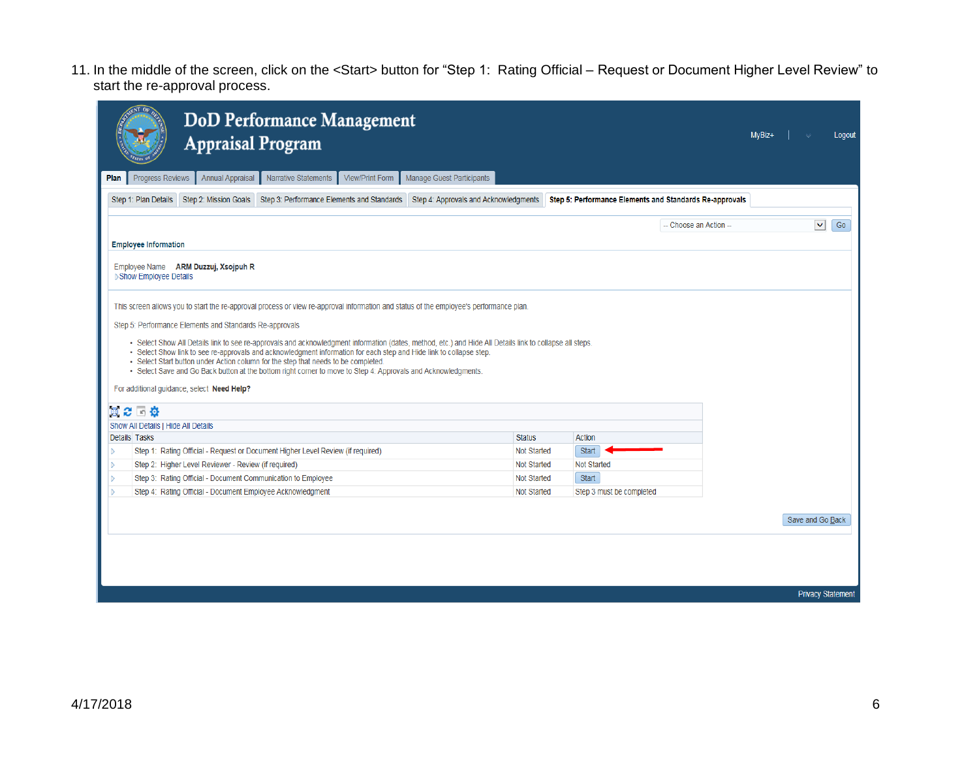11. In the middle of the screen, click on the <Start> button for "Step 1: Rating Official – Request or Document Higher Level Review" to start the re-approval process.

| <b>DoD Performance Management</b><br><b>Appraisal Program</b>                                                                                                                                                                                                                                                                                                                                                                                                                                                                        |                    |                                                         | MyBiz+ | Logout                   |
|--------------------------------------------------------------------------------------------------------------------------------------------------------------------------------------------------------------------------------------------------------------------------------------------------------------------------------------------------------------------------------------------------------------------------------------------------------------------------------------------------------------------------------------|--------------------|---------------------------------------------------------|--------|--------------------------|
| Manage Guest Participants<br><b>Progress Reviews</b><br><b>Annual Appraisal</b><br><b>Narrative Statements</b><br><b>View/Print Form</b><br>Plan                                                                                                                                                                                                                                                                                                                                                                                     |                    |                                                         |        |                          |
| Step 2: Mission Goals Step 3: Performance Elements and Standards Step 4: Approvals and Acknowledgments<br>Step 1: Plan Details                                                                                                                                                                                                                                                                                                                                                                                                       |                    | Step 5: Performance Elements and Standards Re-approvals |        |                          |
|                                                                                                                                                                                                                                                                                                                                                                                                                                                                                                                                      |                    |                                                         |        |                          |
|                                                                                                                                                                                                                                                                                                                                                                                                                                                                                                                                      |                    | -- Choose an Action --                                  |        | $\checkmark$<br>Go       |
| <b>Employee Information</b>                                                                                                                                                                                                                                                                                                                                                                                                                                                                                                          |                    |                                                         |        |                          |
| Employee Name ARM Duzzuj, Xsojpuh R<br><b>▶Show Employee Details</b>                                                                                                                                                                                                                                                                                                                                                                                                                                                                 |                    |                                                         |        |                          |
| This screen allows you to start the re-approval process or view re-approval information and status of the employee's performance plan.                                                                                                                                                                                                                                                                                                                                                                                               |                    |                                                         |        |                          |
| Step 5: Performance Elements and Standards Re-approvals                                                                                                                                                                                                                                                                                                                                                                                                                                                                              |                    |                                                         |        |                          |
| . Select Show All Details link to see re-approvals and acknowledgment information (dates, method, etc.) and Hide All Details link to collapse all steps.<br>. Select Show link to see re-approvals and acknowledgment information for each step and Hide link to collapse step.<br>• Select Start button under Action column for the step that needs to be completed.<br>- Select Save and Go Back button at the bottom right corner to move to Step 4: Approvals and Acknowledgments.<br>For additional guidance, select Need Help? |                    |                                                         |        |                          |
| 買ご 回算                                                                                                                                                                                                                                                                                                                                                                                                                                                                                                                                |                    |                                                         |        |                          |
| Show All Details I Hide All Details                                                                                                                                                                                                                                                                                                                                                                                                                                                                                                  |                    |                                                         |        |                          |
| Details Tasks                                                                                                                                                                                                                                                                                                                                                                                                                                                                                                                        | <b>Status</b>      | Action                                                  |        |                          |
| Step 1: Rating Official - Request or Document Higher Level Review (if required)                                                                                                                                                                                                                                                                                                                                                                                                                                                      | <b>Not Started</b> | Start                                                   |        |                          |
| Step 2: Higher Level Reviewer - Review (if required)<br>D                                                                                                                                                                                                                                                                                                                                                                                                                                                                            | <b>Not Started</b> | <b>Not Started</b>                                      |        |                          |
| Step 3: Rating Official - Document Communication to Employee<br>b                                                                                                                                                                                                                                                                                                                                                                                                                                                                    | Not Started        | Start                                                   |        |                          |
| Step 4: Rating Official - Document Employee Acknowledgment                                                                                                                                                                                                                                                                                                                                                                                                                                                                           | Not Started        | Step 3 must be completed                                |        |                          |
|                                                                                                                                                                                                                                                                                                                                                                                                                                                                                                                                      |                    |                                                         |        | Save and Go Back         |
|                                                                                                                                                                                                                                                                                                                                                                                                                                                                                                                                      |                    |                                                         |        |                          |
|                                                                                                                                                                                                                                                                                                                                                                                                                                                                                                                                      |                    |                                                         |        |                          |
|                                                                                                                                                                                                                                                                                                                                                                                                                                                                                                                                      |                    |                                                         |        | <b>Privacy Statement</b> |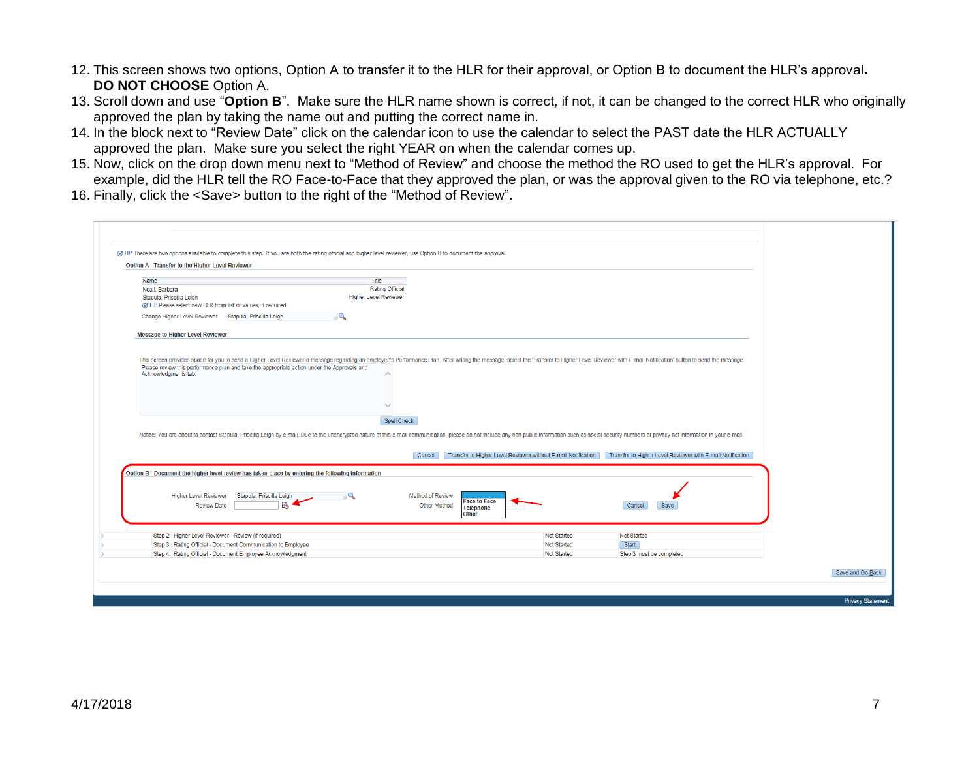- 12. This screen shows two options, Option A to transfer it to the HLR for their approval, or Option B to document the HLR's approval**. DO NOT CHOOSE** Option A.
- 13. Scroll down and use "**Option B**". Make sure the HLR name shown is correct, if not, it can be changed to the correct HLR who originally approved the plan by taking the name out and putting the correct name in.
- 14. In the block next to "Review Date" click on the calendar icon to use the calendar to select the PAST date the HLR ACTUALLY approved the plan. Make sure you select the right YEAR on when the calendar comes up.
- 15. Now, click on the drop down menu next to "Method of Review" and choose the method the RO used to get the HLR's approval. For example, did the HLR tell the RO Face-to-Face that they approved the plan, or was the approval given to the RO via telephone, etc.?
- 16. Finally, click the <Save> button to the right of the "Method of Review".

| Name<br>Neall, Barbara                                                                                                                                                                                                         | Title<br>Rating Official                              |                                                               |                                                            |  |
|--------------------------------------------------------------------------------------------------------------------------------------------------------------------------------------------------------------------------------|-------------------------------------------------------|---------------------------------------------------------------|------------------------------------------------------------|--|
| Stapula, Priscilla Leigh<br>of TIP Please select new HLR from list of values, if required.                                                                                                                                     | <b>Higher Level Reviewer</b>                          |                                                               |                                                            |  |
| Change Higher Level Reviewer Stapula, Priscilla Leigh                                                                                                                                                                          | $\mathcal{Q}_k$                                       |                                                               |                                                            |  |
| <b>Message to Higher Level Reviewer</b>                                                                                                                                                                                        |                                                       |                                                               |                                                            |  |
| Notice: You are about to contact Stapula, Priscilla Leigh by e-mail. Due to the unencrypted nature of this e-mail communication, please do not include any non-public information such as social security numbers or privacy a | Spell Check                                           |                                                               |                                                            |  |
|                                                                                                                                                                                                                                | Cancel                                                | Transfer to Higher Level Reviewer without E-mail Notification | Transfer to Higher Level Reviewer with E-mail Notification |  |
| Option B - Document the higher level review has taken place by entering the following information                                                                                                                              |                                                       |                                                               |                                                            |  |
| <b>Higher Level Reviewer</b><br>Stapula, Priscilla Leigh<br>ľ.<br><b>Review Date</b>                                                                                                                                           | $\sqrt{a}$<br><b>Method of Review</b><br>Other Method | <b>Face to Face</b><br><b>Telephone</b><br><b>Other</b>       | Cancel<br>Save                                             |  |
|                                                                                                                                                                                                                                |                                                       | <b>Not Started</b>                                            | <b>Not Started</b>                                         |  |
| Step 2: Higher Level Reviewer - Review (if required)                                                                                                                                                                           |                                                       |                                                               |                                                            |  |
| Step 3: Rating Official - Document Communication to Employee<br>Step 4: Rating Official - Document Employee Acknowledgment                                                                                                     |                                                       | <b>Not Started</b>                                            | Start                                                      |  |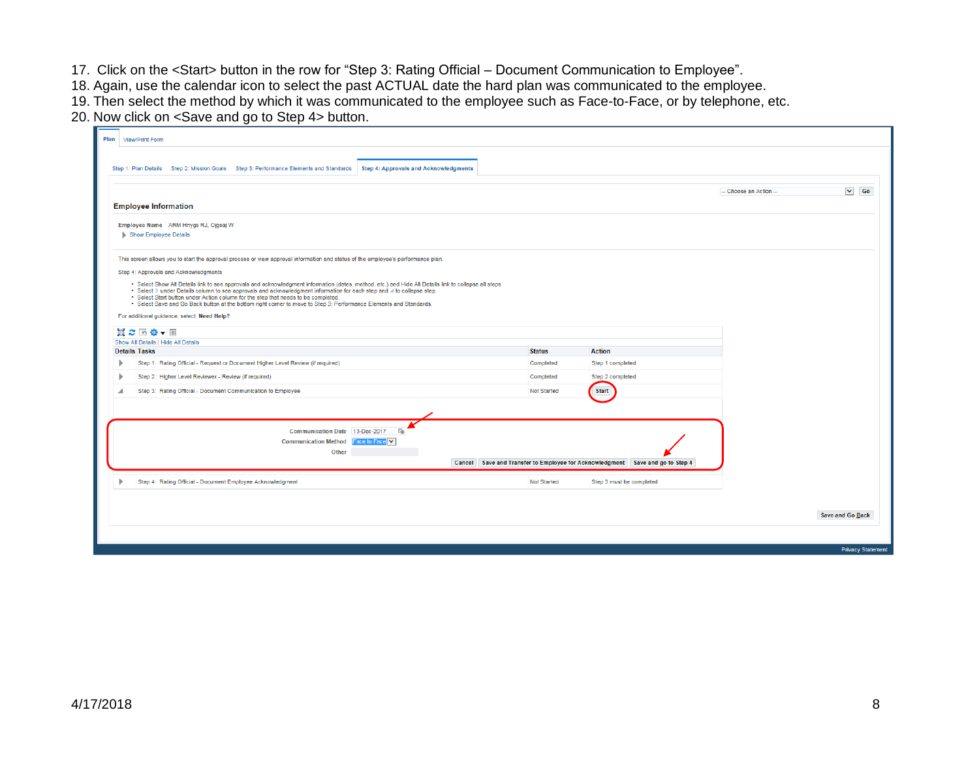- 17. Click on the <Start> button in the row for "Step 3: Rating Official Document Communication to Employee".
- 18. Again, use the calendar icon to select the past ACTUAL date the hard plan was communicated to the employee.
- 19. Then select the method by which it was communicated to the employee such as Face-to-Face, or by telephone, etc.
- 20. Now click on <Save and go to Step 4> button.

| Plan | <b>View/Print Form</b>                                                                                                                                                                                                                                                         |                                              |                    |                                                                               |                        |                          |
|------|--------------------------------------------------------------------------------------------------------------------------------------------------------------------------------------------------------------------------------------------------------------------------------|----------------------------------------------|--------------------|-------------------------------------------------------------------------------|------------------------|--------------------------|
|      |                                                                                                                                                                                                                                                                                |                                              |                    |                                                                               |                        |                          |
|      | Step 1: Plan Details Step 2: Mission Goals Step 3: Performance Elements and Standards                                                                                                                                                                                          | <b>Step 4: Approvals and Acknowledgments</b> |                    |                                                                               |                        |                          |
|      |                                                                                                                                                                                                                                                                                |                                              |                    |                                                                               | -- Choose an Action -- | $\vee$ Go                |
|      | <b>Employee Information</b>                                                                                                                                                                                                                                                    |                                              |                    |                                                                               |                        |                          |
|      |                                                                                                                                                                                                                                                                                |                                              |                    |                                                                               |                        |                          |
|      | Employee Name ARM Hnygs RJ, Ojgsaj W<br>Show Employee Details                                                                                                                                                                                                                  |                                              |                    |                                                                               |                        |                          |
|      |                                                                                                                                                                                                                                                                                |                                              |                    |                                                                               |                        |                          |
|      | This screen allows you to start the approval process or view approval information and status of the employee's performance plan.                                                                                                                                               |                                              |                    |                                                                               |                        |                          |
|      | Step 4: Approvals and Acknowledgments                                                                                                                                                                                                                                          |                                              |                    |                                                                               |                        |                          |
|      | . Select Show All Details link to see approvals and acknowledgment information (dates, method, etc.) and Hide All Details link to collapse all steps.<br>. Select ▷ under Details column to see approvals and acknowledgment information for each step and ⊿ to collapse step. |                                              |                    |                                                                               |                        |                          |
|      | . Select Start button under Action column for the step that needs to be completed.<br>· Select Save and Go Back button at the bottom right corner to move to Step 3: Performance Elements and Standards.                                                                       |                                              |                    |                                                                               |                        |                          |
|      | For additional guidance, select Need Help?                                                                                                                                                                                                                                     |                                              |                    |                                                                               |                        |                          |
|      | 日 2 回 章 ▼ Ⅲ                                                                                                                                                                                                                                                                    |                                              |                    |                                                                               |                        |                          |
|      | Show All Details   Hide All Details<br><b>Details Tasks</b>                                                                                                                                                                                                                    |                                              | <b>Status</b>      | <b>Action</b>                                                                 |                        |                          |
|      | Step 1: Rating Official - Request or Document Higher Level Review (if required)                                                                                                                                                                                                |                                              | Completed          | Step 1 completed                                                              |                        |                          |
|      | Step 2: Higher Level Reviewer - Review (if required)                                                                                                                                                                                                                           |                                              | Completed          | Step 2 completed                                                              |                        |                          |
|      | Step 3: Rating Official - Document Communication to Employee                                                                                                                                                                                                                   |                                              | Not Started        | <b>Start</b>                                                                  |                        |                          |
|      |                                                                                                                                                                                                                                                                                |                                              |                    |                                                                               |                        |                          |
|      |                                                                                                                                                                                                                                                                                |                                              |                    |                                                                               |                        |                          |
|      | Communication Date 13-Dec-2017                                                                                                                                                                                                                                                 | Ëò                                           |                    |                                                                               |                        |                          |
|      | <b>Communication Method</b><br>Other                                                                                                                                                                                                                                           | Face to Face V                               |                    |                                                                               |                        |                          |
|      |                                                                                                                                                                                                                                                                                |                                              |                    | Cancel Save and Transfer to Employee for Acknowledgment Save and go to Step 4 |                        |                          |
|      | Step 4: Rating Official - Document Employee Acknowledgment                                                                                                                                                                                                                     |                                              | <b>Not Started</b> | Step 3 must be completed                                                      |                        |                          |
|      |                                                                                                                                                                                                                                                                                |                                              |                    |                                                                               |                        |                          |
|      |                                                                                                                                                                                                                                                                                |                                              |                    |                                                                               |                        |                          |
|      |                                                                                                                                                                                                                                                                                |                                              |                    |                                                                               |                        | Save and Go Back         |
|      |                                                                                                                                                                                                                                                                                |                                              |                    |                                                                               |                        |                          |
|      |                                                                                                                                                                                                                                                                                |                                              |                    |                                                                               |                        | <b>Privacy Statement</b> |